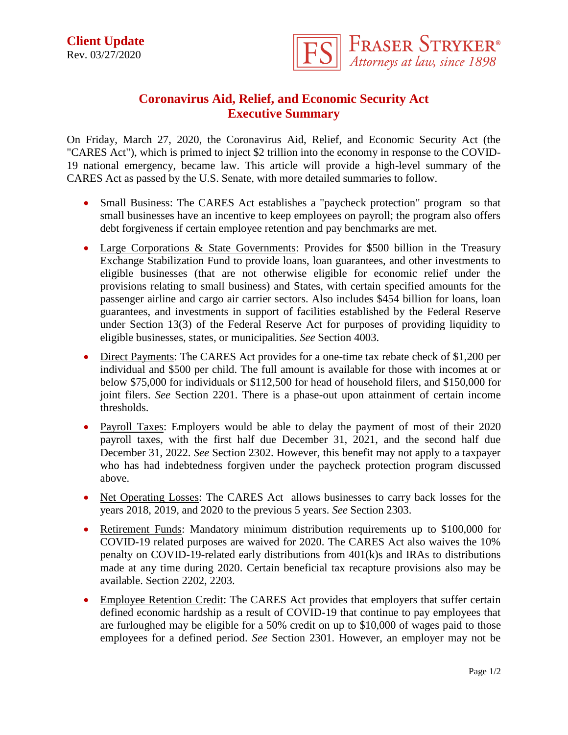

## **Coronavirus Aid, Relief, and Economic Security Act Executive Summary**

On Friday, March 27, 2020, the Coronavirus Aid, Relief, and Economic Security Act (the "CARES Act"), which is primed to inject \$2 trillion into the economy in response to the COVID-19 national emergency, became law. This article will provide a high-level summary of the CARES Act as passed by the U.S. Senate, with more detailed summaries to follow.

- Small Business: The CARES Act establishes a "paycheck protection" program so that small businesses have an incentive to keep employees on payroll; the program also offers debt forgiveness if certain employee retention and pay benchmarks are met.
- Large Corporations & State Governments: Provides for \$500 billion in the Treasury Exchange Stabilization Fund to provide loans, loan guarantees, and other investments to eligible businesses (that are not otherwise eligible for economic relief under the provisions relating to small business) and States, with certain specified amounts for the passenger airline and cargo air carrier sectors. Also includes \$454 billion for loans, loan guarantees, and investments in support of facilities established by the Federal Reserve under Section 13(3) of the Federal Reserve Act for purposes of providing liquidity to eligible businesses, states, or municipalities. *See* Section 4003.
- Direct Payments: The CARES Act provides for a one-time tax rebate check of \$1,200 per individual and \$500 per child. The full amount is available for those with incomes at or below \$75,000 for individuals or \$112,500 for head of household filers, and \$150,000 for joint filers. *See* Section 2201. There is a phase-out upon attainment of certain income thresholds.
- Payroll Taxes: Employers would be able to delay the payment of most of their 2020 payroll taxes, with the first half due December 31, 2021, and the second half due December 31, 2022. *See* Section 2302. However, this benefit may not apply to a taxpayer who has had indebtedness forgiven under the paycheck protection program discussed above.
- Net Operating Losses: The CARES Act allows businesses to carry back losses for the years 2018, 2019, and 2020 to the previous 5 years. *See* Section 2303.
- Retirement Funds: Mandatory minimum distribution requirements up to \$100,000 for COVID-19 related purposes are waived for 2020. The CARES Act also waives the 10% penalty on COVID-19-related early distributions from 401(k)s and IRAs to distributions made at any time during 2020. Certain beneficial tax recapture provisions also may be available. Section 2202, 2203.
- Employee Retention Credit: The CARES Act provides that employers that suffer certain defined economic hardship as a result of COVID-19 that continue to pay employees that are furloughed may be eligible for a 50% credit on up to \$10,000 of wages paid to those employees for a defined period. *See* Section 2301. However, an employer may not be